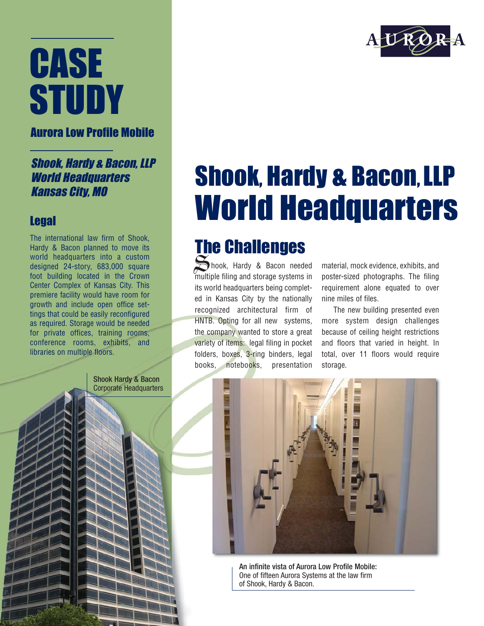## **CASE STUDY**

Aurora Low Profile Mobile

Shook, Hardy & Bacon, LLP World Headquarters Kansas City, MO

## Legal

The international law firm of Shook, Hardy & Bacon planned to move its world headquarters into a custom designed 24-story, 683,000 square foot building located in the Crown Center Complex of Kansas City. This premiere facility would have room for growth and include open office settings that could be easily reconfigured as required. Storage would be needed for private offices, training rooms, conference rooms, exhibits, and libraries on multiple floors.

> Shook Hardy & Bacon Corporate Headquarters



## Shook, Hardy & Bacon, LLP World Headquarters

## The Challenges

Shook, Hardy & Bacon needed multiple filing and storage systems in its world headquarters being completed in Kansas City by the nationally recognized architectural firm of HNTB. Opting for all new systems, the company wanted to store a great variety of items: legal filing in pocket folders, boxes, 3-ring binders, legal books, notebooks, presentation

material, mock evidence, exhibits, and poster-sized photographs. The filing requirement alone equated to over nine miles of files.

The new building presented even more system design challenges because of ceiling height restrictions and floors that varied in height. In total, over 11 floors would require storage.



An infinite vista of Aurora Low Profile Mobile: One of fifteen Aurora Systems at the law firm of Shook, Hardy & Bacon.